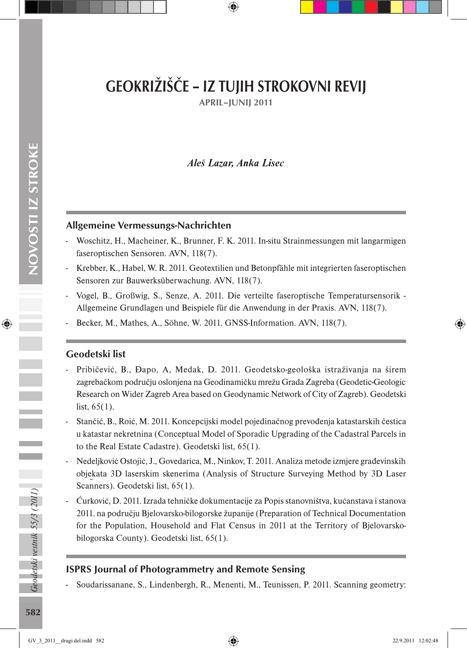# GEOKRIŽIŠČE – IZ TUJIH STROKOVNI REVIJ

APRIL–JUNIJ 2011

### *Aleš Lazar, Anka Lisec*

#### Allgemeine Vermessungs-Nachrichten

- Woschitz, H., Macheiner, K., Brunner, F. K. 2011. In-situ Strainmessungen mit langarmigen faseroptischen Sensoren. AVN, 118(7).
- Krebber, K., Habel, W. R. 2011. Geotextilien und Betonpfähle mit integrierten faseroptischen Sensoren zur Bauwerksüberwachung. AVN, 118(7).
- Vogel, B., Großwig, S., Senze, A. 2011. Die verteilte faseroptische Temperatursensorik Allgemeine Grundlagen und Beispiele für die Anwendung in der Praxis. AVN, 118(7).
- Becker, M., Mathes, A., Söhne, W. 2011. GNSS-Information. AVN, 118(7).

#### Geodetski list

- Pribičević, B., Đapo, A, Medak, D. 2011. Geodetsko-geološka istraživanja na širem zagrebačkom području oslonjena na Geodinamičku mrežu Grada Zagreba (Geodetic-Geologic Research on Wider Zagreb Area based on Geodynamic Network of City of Zagreb). Geodetski list,  $65(1)$ .
- Stančić, B., Roić, M. 2011. Koncepcijski model pojedinačnog prevođenja katastarskih čestica u katastar nekretnina (Conceptual Model of Sporadic Upgrading of the Cadastral Parcels in to the Real Estate Cadastre). Geodetski list, 65(1).
- Nedeljković Ostojić, J., Govedarica, M., Ninkov, T. 2011. Analiza metode izmjere građevinskih objekata 3D laserskim skenerima (Analysis of Structure Surveying Method by 3D Laser Scanners). Geodetski list, 65(1).
- Ćurković, D. 2011. Izrada tehničke dokumentacije za Popis stanovništva, kućanstava i stanova 2011. na području Bjelovarsko-bilogorske županije (Preparation of Technical Documentation for the Population, Household and Flat Census in 2011 at the Territory of Bjelovarskobilogorska County). Geodetski list, 65(1).

#### ISPRS Journal of Photogrammetry and Remote Sensing

- Soudarissanane, S., Lindenbergh, R., Menenti, M., Teunissen, P. 2011. Scanning geometry: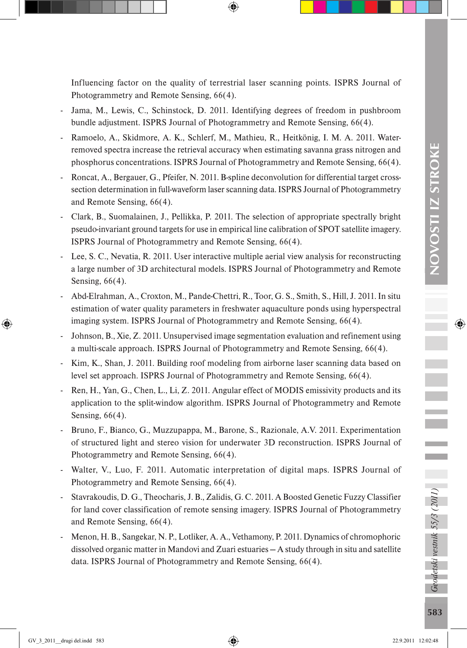Influencing factor on the quality of terrestrial laser scanning points. ISPRS Journal of Photogrammetry and Remote Sensing, 66(4).

- Jama, M., Lewis, C., Schinstock, D. 2011. Identifying degrees of freedom in pushbroom bundle adjustment. ISPRS Journal of Photogrammetry and Remote Sensing, 66(4).
- Ramoelo, A., Skidmore, A. K., Schlerf, M., Mathieu, R., Heitkönig, I. M. A. 2011. Waterremoved spectra increase the retrieval accuracy when estimating savanna grass nitrogen and phosphorus concentrations. ISPRS Journal of Photogrammetry and Remote Sensing, 66(4).
- Roncat, A., Bergauer, G., Pfeifer, N. 2011. B-spline deconvolution for differential target crosssection determination in full-waveform laser scanning data. ISPRS Journal of Photogrammetry and Remote Sensing, 66(4).
- Clark, B., Suomalainen, J., Pellikka, P. 2011. The selection of appropriate spectrally bright pseudo-invariant ground targets for use in empirical line calibration of SPOT satellite imagery. ISPRS Journal of Photogrammetry and Remote Sensing, 66(4).
- Lee, S. C., Nevatia, R. 2011. User interactive multiple aerial view analysis for reconstructing a large number of 3D architectural models. ISPRS Journal of Photogrammetry and Remote Sensing, 66(4).
- Abd-Elrahman, A., Croxton, M., Pande-Chettri, R., Toor, G. S., Smith, S., Hill, J. 2011. In situ estimation of water quality parameters in freshwater aquaculture ponds using hyperspectral imaging system. ISPRS Journal of Photogrammetry and Remote Sensing, 66(4).
- Johnson, B., Xie, Z. 2011. Unsupervised image segmentation evaluation and refinement using a multi-scale approach. ISPRS Journal of Photogrammetry and Remote Sensing, 66(4).
- Kim, K., Shan, J. 2011. Building roof modeling from airborne laser scanning data based on level set approach. ISPRS Journal of Photogrammetry and Remote Sensing, 66(4).
- Ren, H., Yan, G., Chen, L., Li, Z. 2011. Angular effect of MODIS emissivity products and its application to the split-window algorithm. ISPRS Journal of Photogrammetry and Remote Sensing, 66(4).
- Bruno, F., Bianco, G., Muzzupappa, M., Barone, S., Razionale, A.V. 2011. Experimentation of structured light and stereo vision for underwater 3D reconstruction. ISPRS Journal of Photogrammetry and Remote Sensing, 66(4).
- Walter, V., Luo, F. 2011. Automatic interpretation of digital maps. ISPRS Journal of Photogrammetry and Remote Sensing, 66(4).
- Stavrakoudis, D. G., Theocharis, J. B., Zalidis, G. C. 2011. A Boosted Genetic Fuzzy Classifier for land cover classification of remote sensing imagery. ISPRS Journal of Photogrammetry and Remote Sensing, 66(4).
- Menon, H. B., Sangekar, N. P., Lotliker, A. A., Vethamony, P. 2011. Dynamics of chromophoric dissolved organic matter in Mandovi and Zuari estuaries — A study through in situ and satellite data. ISPRS Journal of Photogrammetry and Remote Sensing, 66(4).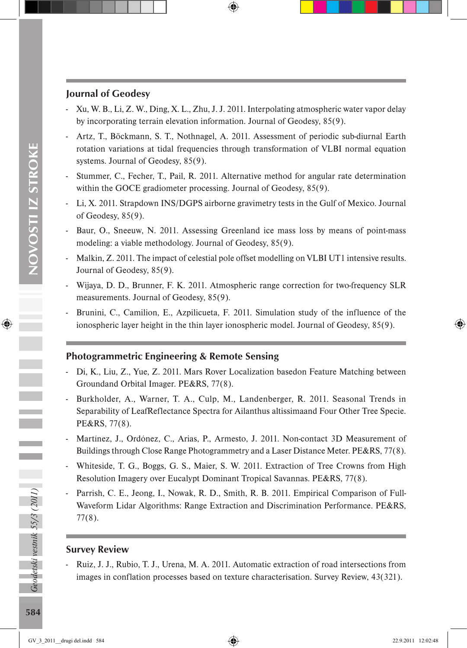#### Journal of Geodesy

- Xu, W. B., Li, Z. W., Ding, X. L., Zhu, J. J. 2011. Interpolating atmospheric water vapor delay by incorporating terrain elevation information. Journal of Geodesy, 85(9).
- Artz, T., Böckmann, S. T., Nothnagel, A. 2011. Assessment of periodic sub-diurnal Earth rotation variations at tidal frequencies through transformation of VLBI normal equation systems. Journal of Geodesy, 85(9).
- Stummer, C., Fecher, T., Pail, R. 2011. Alternative method for angular rate determination within the GOCE gradiometer processing. Journal of Geodesy, 85(9).
- Li, X. 2011. Strapdown INS/DGPS airborne gravimetry tests in the Gulf of Mexico. Journal of Geodesy, 85(9).
- Baur, O., Sneeuw, N. 2011. Assessing Greenland ice mass loss by means of point-mass modeling: a viable methodology. Journal of Geodesy, 85(9).
- Malkin, Z. 2011. The impact of celestial pole offset modelling on VLBI UT1 intensive results. Journal of Geodesy, 85(9).
- Wijaya, D. D., Brunner, F. K. 2011. Atmospheric range correction for two-frequency SLR measurements. Journal of Geodesy, 85(9).
- Brunini, C., Camilion, E., Azpilicueta, F. 2011. Simulation study of the influence of the ionospheric layer height in the thin layer ionospheric model. Journal of Geodesy, 85(9).

# Photogrammetric Engineering & Remote Sensing

- Di, K., Liu, Z., Yue, Z. 2011. Mars Rover Localization basedon Feature Matching between Groundand Orbital Imager. PE&RS, 77(8).
- Burkholder, A., Warner, T. A., Culp, M., Landenberger, R. 2011. Seasonal Trends in Separability of LeafReflectance Spectra for Ailanthus altissimaand Four Other Tree Specie. PE&RS, 77(8).
- Martínez, J., Ordónez, C., Arias, P., Armesto, J. 2011. Non-contact 3D Measurement of Buildings through Close Range Photogrammetry and a Laser Distance Meter. PE&RS, 77(8).
- Whiteside, T. G., Boggs, G. S., Maier, S. W. 2011. Extraction of Tree Crowns from High Resolution Imagery over Eucalypt Dominant Tropical Savannas. PE&RS, 77(8).
- Parrish, C. E., Jeong, I., Nowak, R. D., Smith, R. B. 2011. Empirical Comparison of Full-Waveform Lidar Algorithms: Range Extraction and Discrimination Performance. PE&RS, 77(8).

# Survey Review

- Ruiz, J. J., Rubio, T. J., Urena, M. A. 2011. Automatic extraction of road intersections from images in conflation processes based on texture characterisation. Survey Review, 43(321).